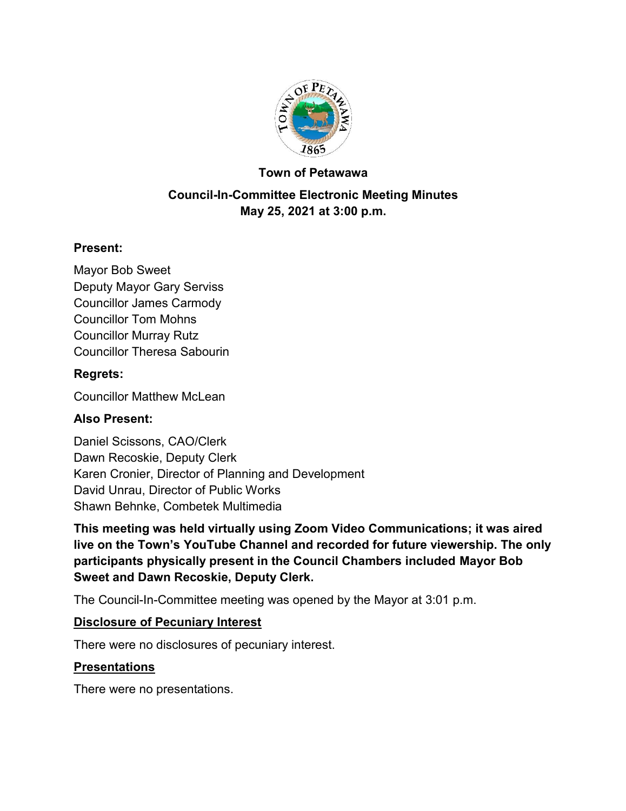

#### **Town of Petawawa**

## **Council-In-Committee Electronic Meeting Minutes May 25, 2021 at 3:00 p.m.**

## **Present:**

Mayor Bob Sweet Deputy Mayor Gary Serviss Councillor James Carmody Councillor Tom Mohns Councillor Murray Rutz Councillor Theresa Sabourin

#### **Regrets:**

Councillor Matthew McLean

## **Also Present:**

Daniel Scissons, CAO/Clerk Dawn Recoskie, Deputy Clerk Karen Cronier, Director of Planning and Development David Unrau, Director of Public Works Shawn Behnke, Combetek Multimedia

**This meeting was held virtually using Zoom Video Communications; it was aired live on the Town's YouTube Channel and recorded for future viewership. The only participants physically present in the Council Chambers included Mayor Bob Sweet and Dawn Recoskie, Deputy Clerk.**

The Council-In-Committee meeting was opened by the Mayor at 3:01 p.m.

#### **Disclosure of Pecuniary Interest**

There were no disclosures of pecuniary interest.

## **Presentations**

There were no presentations.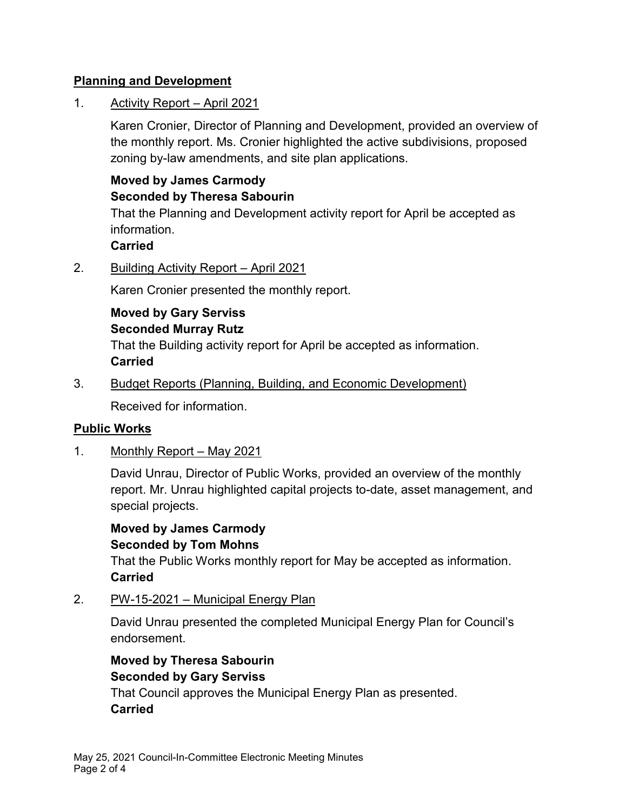## **Planning and Development**

1. Activity Report – April 2021

Karen Cronier, Director of Planning and Development, provided an overview of the monthly report. Ms. Cronier highlighted the active subdivisions, proposed zoning by-law amendments, and site plan applications.

# **Moved by James Carmody Seconded by Theresa Sabourin**

That the Planning and Development activity report for April be accepted as information.

**Carried**

2. Building Activity Report – April 2021

Karen Cronier presented the monthly report.

**Moved by Gary Serviss Seconded Murray Rutz**

That the Building activity report for April be accepted as information. **Carried**

3. Budget Reports (Planning, Building, and Economic Development)

Received for information.

## **Public Works**

1. Monthly Report – May 2021

David Unrau, Director of Public Works, provided an overview of the monthly report. Mr. Unrau highlighted capital projects to-date, asset management, and special projects.

**Moved by James Carmody Seconded by Tom Mohns** That the Public Works monthly report for May be accepted as information. **Carried**

2. PW-15-2021 – Municipal Energy Plan

David Unrau presented the completed Municipal Energy Plan for Council's endorsement.

**Moved by Theresa Sabourin Seconded by Gary Serviss** That Council approves the Municipal Energy Plan as presented. **Carried**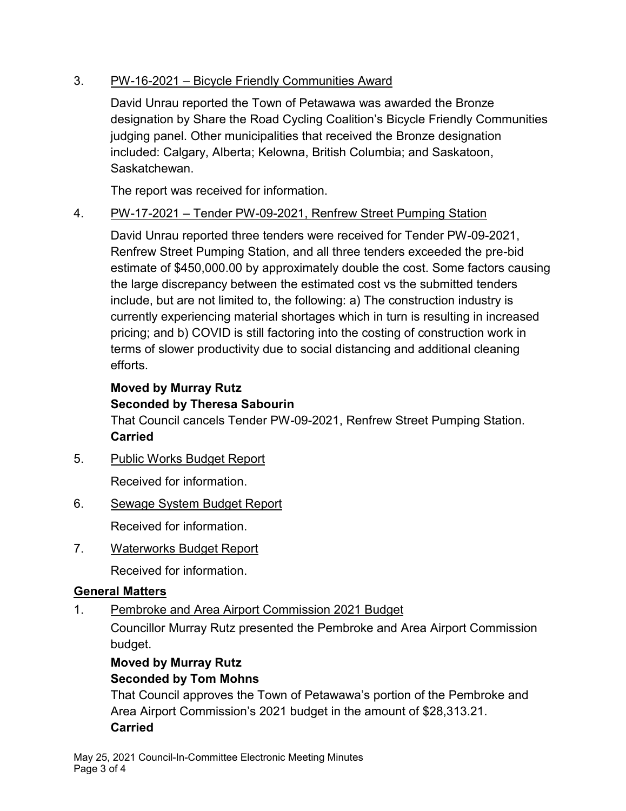## 3. PW-16-2021 – Bicycle Friendly Communities Award

David Unrau reported the Town of Petawawa was awarded the Bronze designation by Share the Road Cycling Coalition's Bicycle Friendly Communities judging panel. Other municipalities that received the Bronze designation included: Calgary, Alberta; Kelowna, British Columbia; and Saskatoon, Saskatchewan.

The report was received for information.

## 4. PW-17-2021 – Tender PW-09-2021, Renfrew Street Pumping Station

David Unrau reported three tenders were received for Tender PW-09-2021, Renfrew Street Pumping Station, and all three tenders exceeded the pre-bid estimate of \$450,000.00 by approximately double the cost. Some factors causing the large discrepancy between the estimated cost vs the submitted tenders include, but are not limited to, the following: a) The construction industry is currently experiencing material shortages which in turn is resulting in increased pricing; and b) COVID is still factoring into the costing of construction work in terms of slower productivity due to social distancing and additional cleaning efforts.

#### **Moved by Murray Rutz Seconded by Theresa Sabourin**

That Council cancels Tender PW-09-2021, Renfrew Street Pumping Station. **Carried**

5. Public Works Budget Report

Received for information.

# 6. Sewage System Budget Report

Received for information.

7. Waterworks Budget Report

Received for information.

# **General Matters**

1. Pembroke and Area Airport Commission 2021 Budget

Councillor Murray Rutz presented the Pembroke and Area Airport Commission budget.

# **Moved by Murray Rutz Seconded by Tom Mohns**

That Council approves the Town of Petawawa's portion of the Pembroke and Area Airport Commission's 2021 budget in the amount of \$28,313.21. **Carried**